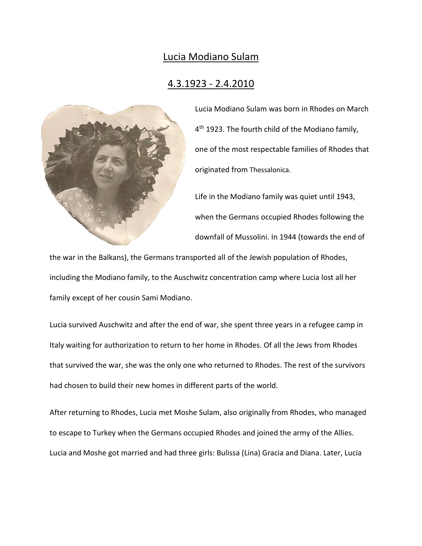## Lucia Modiano Sulam

## 4.3.1923 - 2.4.2010



Lucia Modiano Sulam was born in Rhodes on March 4 th 1923. The fourth child of the Modiano family, one of the most respectable families of Rhodes that originated from Thessalonica.

Life in the Modiano family was quiet until 1943, when the Germans occupied Rhodes following the downfall of Mussolini. In 1944 (towards the end of

the war in the Balkans), the Germans transported all of the Jewish population of Rhodes, including the Modiano family, to the Auschwitz concentration camp where Lucia lost all her family except of her cousin Sami Modiano.

Lucia survived Auschwitz and after the end of war, she spent three years in a refugee camp in Italy waiting for authorization to return to her home in Rhodes. Of all the Jews from Rhodes that survived the war, she was the only one who returned to Rhodes. The rest of the survivors had chosen to build their new homes in different parts of the world.

After returning to Rhodes, Lucia met Moshe Sulam, also originally from Rhodes, who managed to escape to Turkey when the Germans occupied Rhodes and joined the army of the Allies. Lucia and Moshe got married and had three girls: Bulissa (Lina) Gracia and Diana. Later, Lucia